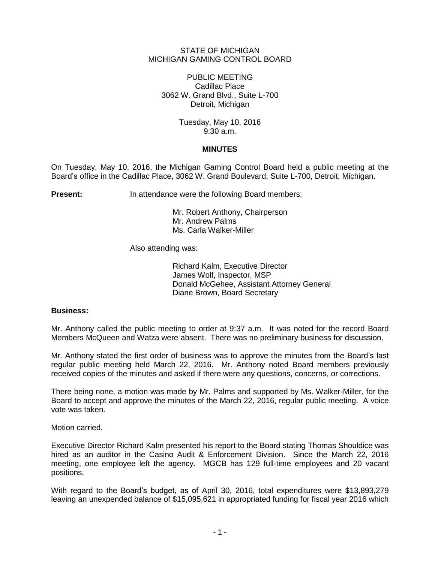## STATE OF MICHIGAN MICHIGAN GAMING CONTROL BOARD

PUBLIC MEETING Cadillac Place 3062 W. Grand Blvd., Suite L-700 Detroit, Michigan

> Tuesday, May 10, 2016 9:30 a.m.

### **MINUTES**

On Tuesday, May 10, 2016, the Michigan Gaming Control Board held a public meeting at the Board's office in the Cadillac Place, 3062 W. Grand Boulevard, Suite L-700, Detroit, Michigan.

**Present:** In attendance were the following Board members:

Mr. Robert Anthony, Chairperson Mr. Andrew Palms Ms. Carla Walker-Miller

Also attending was:

Richard Kalm, Executive Director James Wolf, Inspector, MSP Donald McGehee, Assistant Attorney General Diane Brown, Board Secretary

# **Business:**

Mr. Anthony called the public meeting to order at 9:37 a.m. It was noted for the record Board Members McQueen and Watza were absent. There was no preliminary business for discussion.

Mr. Anthony stated the first order of business was to approve the minutes from the Board's last regular public meeting held March 22, 2016. Mr. Anthony noted Board members previously received copies of the minutes and asked if there were any questions, concerns, or corrections.

There being none, a motion was made by Mr. Palms and supported by Ms. Walker-Miller, for the Board to accept and approve the minutes of the March 22, 2016, regular public meeting. A voice vote was taken.

Motion carried.

Executive Director Richard Kalm presented his report to the Board stating Thomas Shouldice was hired as an auditor in the Casino Audit & Enforcement Division. Since the March 22, 2016 meeting, one employee left the agency. MGCB has 129 full-time employees and 20 vacant positions.

With regard to the Board's budget, as of April 30, 2016, total expenditures were \$13,893,279 leaving an unexpended balance of \$15,095,621 in appropriated funding for fiscal year 2016 which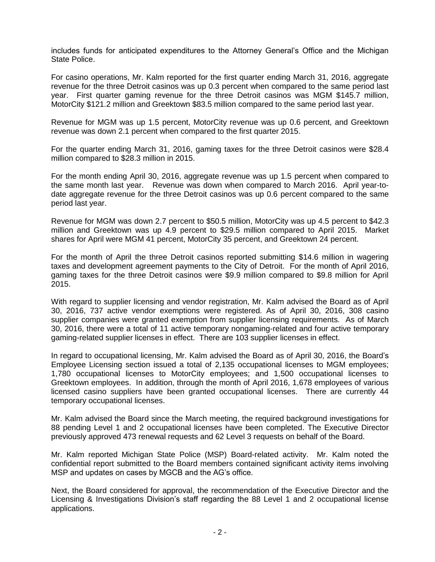includes funds for anticipated expenditures to the Attorney General's Office and the Michigan State Police.

For casino operations, Mr. Kalm reported for the first quarter ending March 31, 2016, aggregate revenue for the three Detroit casinos was up 0.3 percent when compared to the same period last year. First quarter gaming revenue for the three Detroit casinos was MGM \$145.7 million, MotorCity \$121.2 million and Greektown \$83.5 million compared to the same period last year.

Revenue for MGM was up 1.5 percent, MotorCity revenue was up 0.6 percent, and Greektown revenue was down 2.1 percent when compared to the first quarter 2015.

For the quarter ending March 31, 2016, gaming taxes for the three Detroit casinos were \$28.4 million compared to \$28.3 million in 2015.

For the month ending April 30, 2016, aggregate revenue was up 1.5 percent when compared to the same month last year. Revenue was down when compared to March 2016. April year-todate aggregate revenue for the three Detroit casinos was up 0.6 percent compared to the same period last year.

Revenue for MGM was down 2.7 percent to \$50.5 million, MotorCity was up 4.5 percent to \$42.3 million and Greektown was up 4.9 percent to \$29.5 million compared to April 2015. Market shares for April were MGM 41 percent, MotorCity 35 percent, and Greektown 24 percent.

For the month of April the three Detroit casinos reported submitting \$14.6 million in wagering taxes and development agreement payments to the City of Detroit. For the month of April 2016, gaming taxes for the three Detroit casinos were \$9.9 million compared to \$9.8 million for April 2015.

With regard to supplier licensing and vendor registration, Mr. Kalm advised the Board as of April 30, 2016, 737 active vendor exemptions were registered. As of April 30, 2016, 308 casino supplier companies were granted exemption from supplier licensing requirements. As of March 30, 2016, there were a total of 11 active temporary nongaming-related and four active temporary gaming-related supplier licenses in effect. There are 103 supplier licenses in effect.

In regard to occupational licensing, Mr. Kalm advised the Board as of April 30, 2016, the Board's Employee Licensing section issued a total of 2,135 occupational licenses to MGM employees; 1,780 occupational licenses to MotorCity employees; and 1,500 occupational licenses to Greektown employees. In addition, through the month of April 2016, 1,678 employees of various licensed casino suppliers have been granted occupational licenses. There are currently 44 temporary occupational licenses.

Mr. Kalm advised the Board since the March meeting, the required background investigations for 88 pending Level 1 and 2 occupational licenses have been completed. The Executive Director previously approved 473 renewal requests and 62 Level 3 requests on behalf of the Board.

Mr. Kalm reported Michigan State Police (MSP) Board-related activity. Mr. Kalm noted the confidential report submitted to the Board members contained significant activity items involving MSP and updates on cases by MGCB and the AG's office.

Next, the Board considered for approval, the recommendation of the Executive Director and the Licensing & Investigations Division's staff regarding the 88 Level 1 and 2 occupational license applications.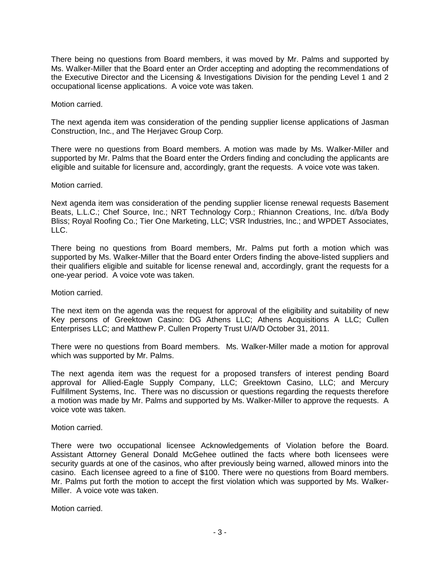There being no questions from Board members, it was moved by Mr. Palms and supported by Ms. Walker-Miller that the Board enter an Order accepting and adopting the recommendations of the Executive Director and the Licensing & Investigations Division for the pending Level 1 and 2 occupational license applications. A voice vote was taken.

### Motion carried.

The next agenda item was consideration of the pending supplier license applications of Jasman Construction, Inc., and The Herjavec Group Corp.

There were no questions from Board members. A motion was made by Ms. Walker-Miller and supported by Mr. Palms that the Board enter the Orders finding and concluding the applicants are eligible and suitable for licensure and, accordingly, grant the requests. A voice vote was taken.

### Motion carried.

Next agenda item was consideration of the pending supplier license renewal requests Basement Beats, L.L.C.; Chef Source, Inc.; NRT Technology Corp.; Rhiannon Creations, Inc. d/b/a Body Bliss; Royal Roofing Co.; Tier One Marketing, LLC; VSR Industries, Inc.; and WPDET Associates, LLC.

There being no questions from Board members, Mr. Palms put forth a motion which was supported by Ms. Walker-Miller that the Board enter Orders finding the above-listed suppliers and their qualifiers eligible and suitable for license renewal and, accordingly, grant the requests for a one-year period. A voice vote was taken.

Motion carried.

The next item on the agenda was the request for approval of the eligibility and suitability of new Key persons of Greektown Casino: DG Athens LLC; Athens Acquisitions A LLC; Cullen Enterprises LLC; and Matthew P. Cullen Property Trust U/A/D October 31, 2011.

There were no questions from Board members. Ms. Walker-Miller made a motion for approval which was supported by Mr. Palms.

The next agenda item was the request for a proposed transfers of interest pending Board approval for Allied-Eagle Supply Company, LLC; Greektown Casino, LLC; and Mercury Fulfillment Systems, Inc. There was no discussion or questions regarding the requests therefore a motion was made by Mr. Palms and supported by Ms. Walker-Miller to approve the requests. A voice vote was taken.

Motion carried.

There were two occupational licensee Acknowledgements of Violation before the Board. Assistant Attorney General Donald McGehee outlined the facts where both licensees were security guards at one of the casinos, who after previously being warned, allowed minors into the casino. Each licensee agreed to a fine of \$100. There were no questions from Board members. Mr. Palms put forth the motion to accept the first violation which was supported by Ms. Walker-Miller. A voice vote was taken.

Motion carried.